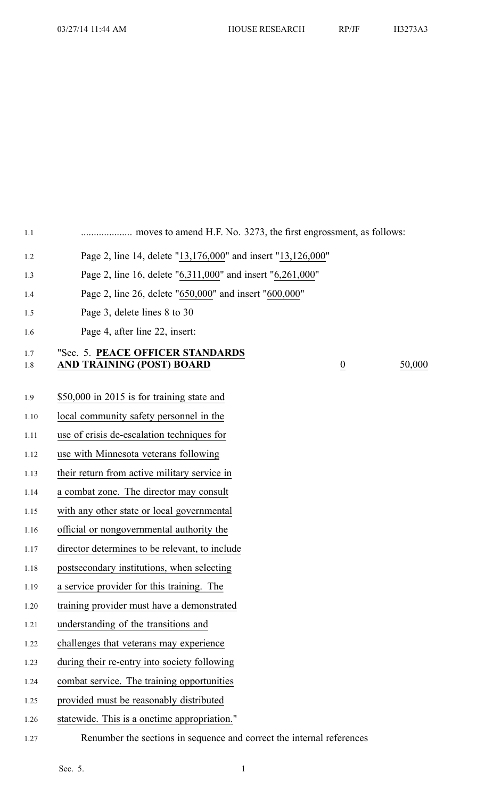1.1 .................... moves to amend H.F. No. 3273, the first engrossment, as follows:

- 1.2 Page 2, line 14, delete "13,176,000" and insert "13,126,000"
- 1.3 Page 2, line 16, delete "6,311,000" and insert "6,261,000"
- 1.4 Page 2, line 26, delete "650,000" and insert "600,000"
- 1.5 Page 3, delete lines 8 to 30
- 1.6 Page 4, after line 22, insert:

## 1.7 "Sec. 5. **PEACE OFFICER STANDARDS** 1.8 **AND TRAINING (POST) BOARD** 0 50,000

- 1.9 \$50,000 in 2015 is for training state and
- 1.10 local community safety personnel in the
- 1.11 use of crisis de-escalation techniques for
- 1.12 use with Minnesota veterans following
- 1.13 their return from active military service in
- 1.14 <sup>a</sup> combat zone. The director may consult
- 1.15 with any other state or local governmental
- 1.16 official or nongovernmental authority the
- 1.17 director determines to be relevant, to include
- 1.18 postsecondary institutions, when selecting
- 1.19 <sup>a</sup> service provider for this training. The
- 1.20 training provider must have <sup>a</sup> demonstrated
- 1.21 understanding of the transitions and
- 1.22 challenges that veterans may experience
- 1.23 during their re-entry into society following
- 1.24 combat service. The training opportunities
- 1.25 provided must be reasonably distributed
- 1.26 statewide. This is <sup>a</sup> onetime appropriation."
- 1.27 Renumber the sections in sequence and correct the internal references